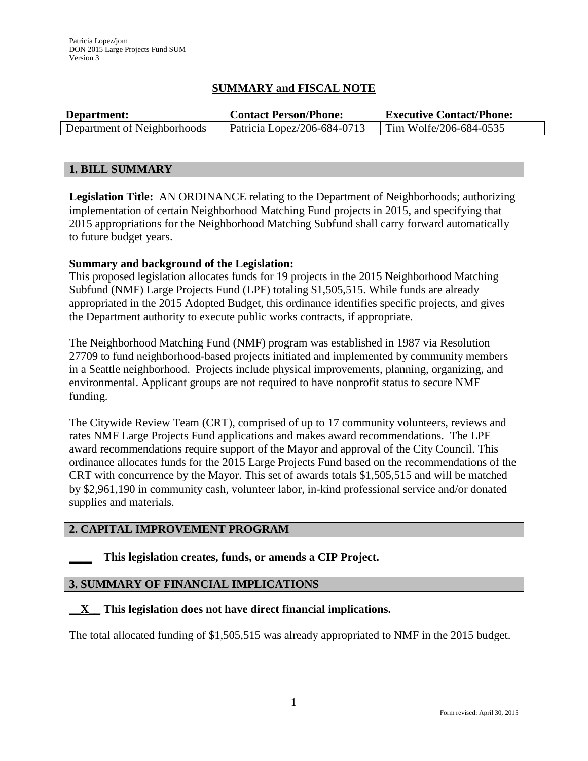# **SUMMARY and FISCAL NOTE**

| Department:                 | <b>Contact Person/Phone:</b> | <b>Executive Contact/Phone:</b> |
|-----------------------------|------------------------------|---------------------------------|
| Department of Neighborhoods | Patricia Lopez/206-684-0713  | Tim Wolfe/206-684-0535          |

### **1. BILL SUMMARY**

**Legislation Title:** AN ORDINANCE relating to the Department of Neighborhoods; authorizing implementation of certain Neighborhood Matching Fund projects in 2015, and specifying that 2015 appropriations for the Neighborhood Matching Subfund shall carry forward automatically to future budget years.

### **Summary and background of the Legislation:**

This proposed legislation allocates funds for 19 projects in the 2015 Neighborhood Matching Subfund (NMF) Large Projects Fund (LPF) totaling \$1,505,515. While funds are already appropriated in the 2015 Adopted Budget, this ordinance identifies specific projects, and gives the Department authority to execute public works contracts, if appropriate.

The Neighborhood Matching Fund (NMF) program was established in 1987 via Resolution 27709 to fund neighborhood-based projects initiated and implemented by community members in a Seattle neighborhood. Projects include physical improvements, planning, organizing, and environmental. Applicant groups are not required to have nonprofit status to secure NMF funding.

The Citywide Review Team (CRT), comprised of up to 17 community volunteers, reviews and rates NMF Large Projects Fund applications and makes award recommendations. The LPF award recommendations require support of the Mayor and approval of the City Council. This ordinance allocates funds for the 2015 Large Projects Fund based on the recommendations of the CRT with concurrence by the Mayor. This set of awards totals \$1,505,515 and will be matched by \$2,961,190 in community cash, volunteer labor, in-kind professional service and/or donated supplies and materials.

## **2. CAPITAL IMPROVEMENT PROGRAM**

## **\_\_\_\_ This legislation creates, funds, or amends a CIP Project.**

## **3. SUMMARY OF FINANCIAL IMPLICATIONS**

### **\_\_X\_\_ This legislation does not have direct financial implications.**

The total allocated funding of \$1,505,515 was already appropriated to NMF in the 2015 budget.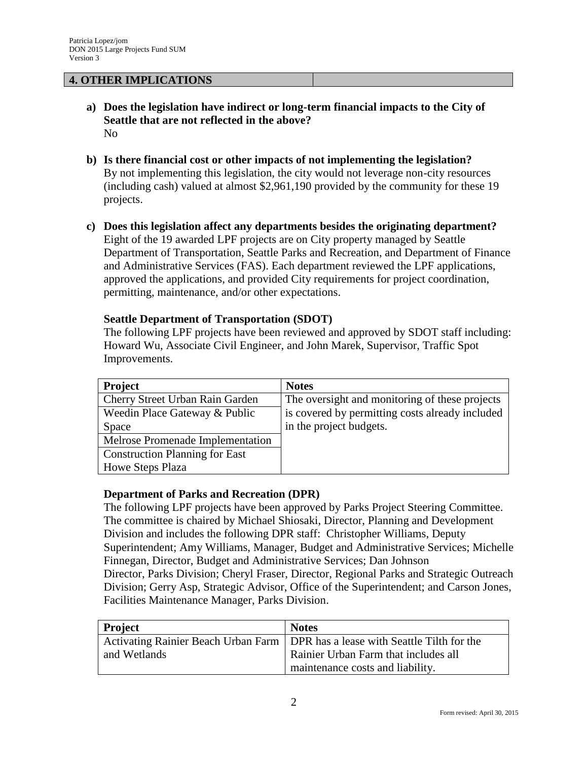### **4. OTHER IMPLICATIONS**

- **a) Does the legislation have indirect or long-term financial impacts to the City of Seattle that are not reflected in the above?** No
- **b) Is there financial cost or other impacts of not implementing the legislation?** By not implementing this legislation, the city would not leverage non-city resources (including cash) valued at almost \$2,961,190 provided by the community for these 19 projects.
- **c) Does this legislation affect any departments besides the originating department?**  Eight of the 19 awarded LPF projects are on City property managed by Seattle Department of Transportation, Seattle Parks and Recreation, and Department of Finance and Administrative Services (FAS). Each department reviewed the LPF applications, approved the applications, and provided City requirements for project coordination, permitting, maintenance, and/or other expectations.

#### **Seattle Department of Transportation (SDOT)**

The following LPF projects have been reviewed and approved by SDOT staff including: Howard Wu, Associate Civil Engineer, and John Marek, Supervisor, Traffic Spot Improvements.

| <b>Project</b>                        | <b>Notes</b>                                    |
|---------------------------------------|-------------------------------------------------|
| Cherry Street Urban Rain Garden       | The oversight and monitoring of these projects  |
| Weedin Place Gateway & Public         | is covered by permitting costs already included |
| Space                                 | in the project budgets.                         |
| Melrose Promenade Implementation      |                                                 |
| <b>Construction Planning for East</b> |                                                 |
| Howe Steps Plaza                      |                                                 |

### **Department of Parks and Recreation (DPR)**

The following LPF projects have been approved by Parks Project Steering Committee. The committee is chaired by Michael Shiosaki, Director, Planning and Development Division and includes the following DPR staff: Christopher Williams, Deputy Superintendent; Amy Williams, Manager, Budget and Administrative Services; Michelle Finnegan, Director, Budget and Administrative Services; Dan Johnson Director, Parks Division; Cheryl Fraser, Director, Regional Parks and Strategic Outreach Division; Gerry Asp, Strategic Advisor, Office of the Superintendent; and Carson Jones, Facilities Maintenance Manager, Parks Division.

| Project      | <b>Notes</b>                                                                     |
|--------------|----------------------------------------------------------------------------------|
|              | Activating Rainier Beach Urban Farm   DPR has a lease with Seattle Tilth for the |
| and Wetlands | Rainier Urban Farm that includes all                                             |
|              | maintenance costs and liability.                                                 |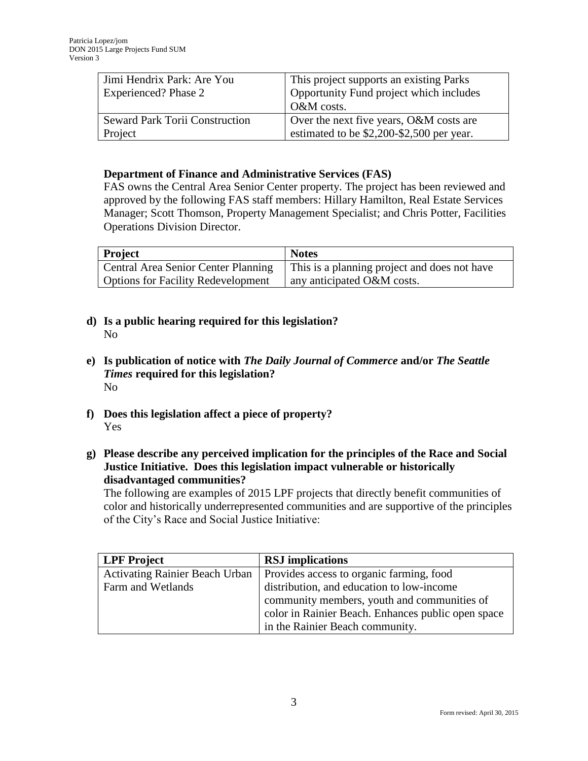| Jimi Hendrix Park: Are You            | This project supports an existing Parks   |
|---------------------------------------|-------------------------------------------|
| Experienced? Phase 2                  | Opportunity Fund project which includes   |
|                                       | O&M costs.                                |
| <b>Seward Park Torii Construction</b> | Over the next five years, O&M costs are   |
| Project                               | estimated to be \$2,200-\$2,500 per year. |

### **Department of Finance and Administrative Services (FAS)**

FAS owns the Central Area Senior Center property. The project has been reviewed and approved by the following FAS staff members: Hillary Hamilton, Real Estate Services Manager; Scott Thomson, Property Management Specialist; and Chris Potter, Facilities Operations Division Director.

| Project                                   | <b>Notes</b>                                 |
|-------------------------------------------|----------------------------------------------|
| Central Area Senior Center Planning       | This is a planning project and does not have |
| <b>Options for Facility Redevelopment</b> | any anticipated O&M costs.                   |

- **d) Is a public hearing required for this legislation?**  No
- **e) Is publication of notice with** *The Daily Journal of Commerce* **and/or** *The Seattle Times* **required for this legislation?** No
- **f) Does this legislation affect a piece of property?** Yes
- **g) Please describe any perceived implication for the principles of the Race and Social Justice Initiative. Does this legislation impact vulnerable or historically disadvantaged communities?**

The following are examples of 2015 LPF projects that directly benefit communities of color and historically underrepresented communities and are supportive of the principles of the City's Race and Social Justice Initiative:

| <b>LPF</b> Project                    | <b>RSJ</b> implications                            |
|---------------------------------------|----------------------------------------------------|
| <b>Activating Rainier Beach Urban</b> | Provides access to organic farming, food           |
| Farm and Wetlands                     | distribution, and education to low-income          |
|                                       | community members, youth and communities of        |
|                                       | color in Rainier Beach. Enhances public open space |
|                                       | in the Rainier Beach community.                    |